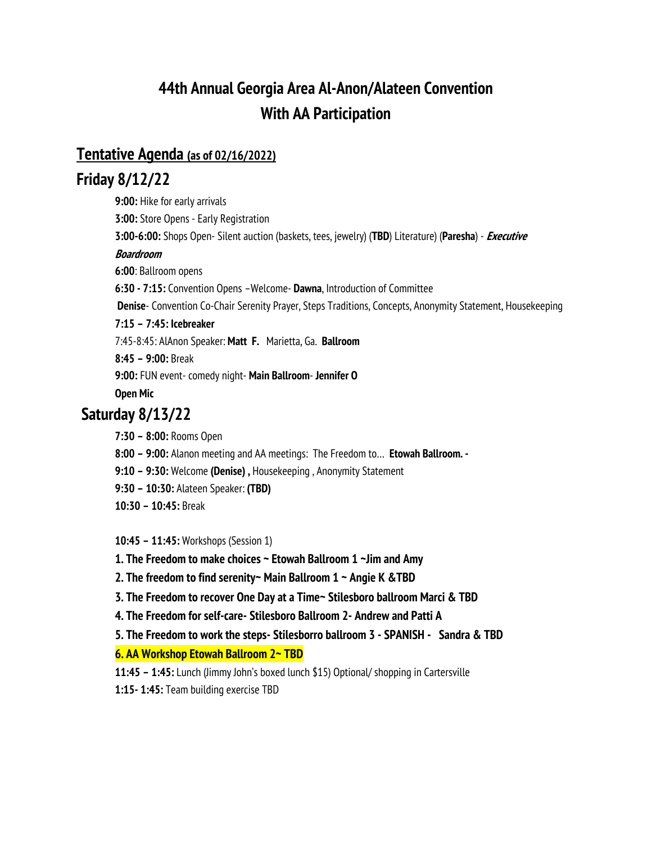# **44th Annual Georgia Area Al-Anon/Alateen Convention With AA Participation**

### **Tentative Agenda (as of 02/16/2022)**

### **Friday 8/12/22**

**9:00:** Hike for early arrivals **3:00:** Store Opens - Early Registration **3:00-6:00:** Shops Open- Silent auction (baskets, tees, jewelry) (**TBD**) Literature) (**Paresha**) - **Executive Boardroom 6:00**: Ballroom opens **6:30 - 7:15:** Convention Opens –Welcome- **Dawna**, Introduction of Committee **Denise**- Convention Co-Chair Serenity Prayer, Steps Traditions, Concepts, Anonymity Statement, Housekeeping **7:15 – 7:45: Icebreaker** 7:45-8:45: AlAnon Speaker: **Matt F.** Marietta, Ga. **Ballroom 8:45 – 9:00:** Break **9:00:** FUN event- comedy night- **Main Ballroom**- **Jennifer O Open Mic**

## **Saturday 8/13/22**

**7:30 – 8:00:** Rooms Open

**8:00 – 9:00:** Alanon meeting and AA meetings: The Freedom to… **Etowah Ballroom. -**

**9:10 – 9:30:** Welcome **(Denise) ,** Housekeeping , Anonymity Statement

**9:30 – 10:30:** Alateen Speaker: **(TBD)** 

**10:30 – 10:45:** Break

**10:45 – 11:45:** Workshops (Session 1)

**1. The Freedom to make choices ~ Etowah Ballroom 1 ~Jim and Amy**

**2. The freedom to find serenity~ Main Ballroom 1 ~ Angie K &TBD**

**3. The Freedom to recover One Day at a Time~ Stilesboro ballroom Marci & TBD**

**4. The Freedom for self-care- Stilesboro Ballroom 2- Andrew and Patti A**

**5. The Freedom to work the steps- Stilesborro ballroom 3 - SPANISH - Sandra & TBD**

**6. AA Workshop Etowah Ballroom 2~ TBD**

**11:45 – 1:45:** Lunch (Jimmy John's boxed lunch \$15) Optional/ shopping in Cartersville

**1:15- 1:45:** Team building exercise TBD